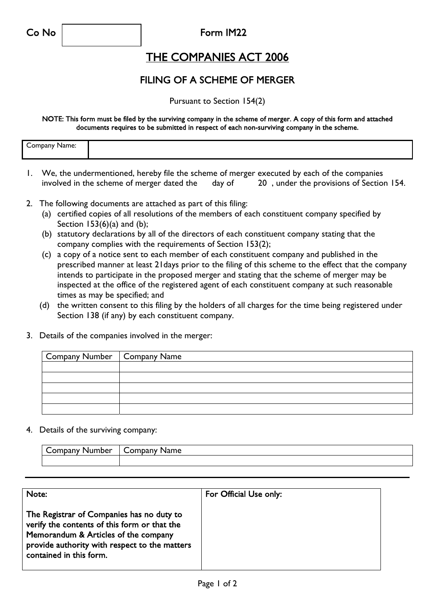Co No Form IM22

## THE COMPANIES ACT 2006

## FILING OF A SCHEME OF MERGER

Pursuant to Section 154(2)

NOTE: This form must be filed by the surviving company in the scheme of merger. A copy of this form and attached documents requires to be submitted in respect of each non-surviving company in the scheme.

| ∽<br>Company Name:<br>$\sim$ $\sim$ $\sim$ $\sim$ $\sim$ |
|----------------------------------------------------------|
|----------------------------------------------------------|

- 1. We, the undermentioned, hereby file the scheme of merger executed by each of the companies involved in the scheme of merger dated the day of 20 , under the provisions of Section 154.
- 2. The following documents are attached as part of this filing:
	- (a) certified copies of all resolutions of the members of each constituent company specified by Section  $153(6)(a)$  and  $(b)$ ;
	- (b) statutory declarations by all of the directors of each constituent company stating that the company complies with the requirements of Section 153(2);
	- (c) a copy of a notice sent to each member of each constituent company and published in the prescribed manner at least 21days prior to the filing of this scheme to the effect that the company intends to participate in the proposed merger and stating that the scheme of merger may be inspected at the office of the registered agent of each constituent company at such reasonable times as may be specified; and
	- (d) the written consent to this filing by the holders of all charges for the time being registered under Section 138 (if any) by each constituent company.
- 3. Details of the companies involved in the merger:

| Company Number   Company Name |  |
|-------------------------------|--|
|                               |  |
|                               |  |
|                               |  |
|                               |  |
|                               |  |

4. Details of the surviving company:

| $   -$<br> | --<br>me<br>. |
|------------|---------------|
|            |               |

| Note:                                                                                                                                                                                                         | For Official Use only: |
|---------------------------------------------------------------------------------------------------------------------------------------------------------------------------------------------------------------|------------------------|
| The Registrar of Companies has no duty to<br>verify the contents of this form or that the<br>Memorandum & Articles of the company<br>provide authority with respect to the matters<br>contained in this form. |                        |